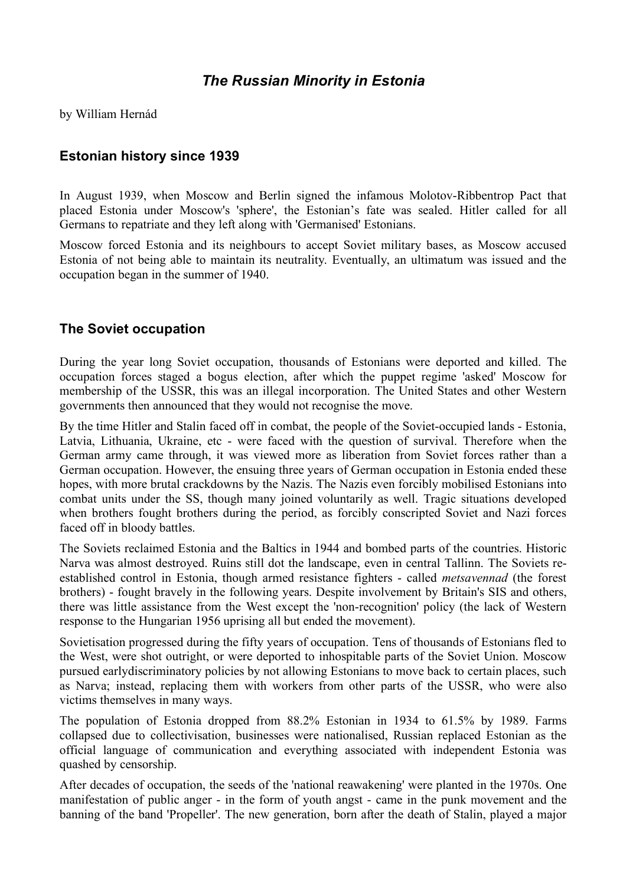# *The Russian Minority in Estonia*

by William Hernád

## **Estonian history since 1939**

In August 1939, when Moscow and Berlin signed the infamous Molotov-Ribbentrop Pact that placed Estonia under Moscow's 'sphere', the Estonian's fate was sealed. Hitler called for all Germans to repatriate and they left along with 'Germanised' Estonians.

Moscow forced Estonia and its neighbours to accept Soviet military bases, as Moscow accused Estonia of not being able to maintain its neutrality. Eventually, an ultimatum was issued and the occupation began in the summer of 1940.

#### **The Soviet occupation**

During the year long Soviet occupation, thousands of Estonians were deported and killed. The occupation forces staged a bogus election, after which the puppet regime 'asked' Moscow for membership of the USSR, this was an illegal incorporation. The United States and other Western governments then announced that they would not recognise the move.

By the time Hitler and Stalin faced off in combat, the people of the Soviet-occupied lands - Estonia, Latvia, Lithuania, Ukraine, etc - were faced with the question of survival. Therefore when the German army came through, it was viewed more as liberation from Soviet forces rather than a German occupation. However, the ensuing three years of German occupation in Estonia ended these hopes, with more brutal crackdowns by the Nazis. The Nazis even forcibly mobilised Estonians into combat units under the SS, though many joined voluntarily as well. Tragic situations developed when brothers fought brothers during the period, as forcibly conscripted Soviet and Nazi forces faced off in bloody battles.

The Soviets reclaimed Estonia and the Baltics in 1944 and bombed parts of the countries. Historic Narva was almost destroyed. Ruins still dot the landscape, even in central Tallinn. The Soviets reestablished control in Estonia, though armed resistance fighters - called *metsavennad* (the forest brothers) - fought bravely in the following years. Despite involvement by Britain's SIS and others, there was little assistance from the West except the 'non-recognition' policy (the lack of Western response to the Hungarian 1956 uprising all but ended the movement).

Sovietisation progressed during the fifty years of occupation. Tens of thousands of Estonians fled to the West, were shot outright, or were deported to inhospitable parts of the Soviet Union. Moscow pursued earlydiscriminatory policies by not allowing Estonians to move back to certain places, such as Narva; instead, replacing them with workers from other parts of the USSR, who were also victims themselves in many ways.

The population of Estonia dropped from 88.2% Estonian in 1934 to 61.5% by 1989. Farms collapsed due to collectivisation, businesses were nationalised, Russian replaced Estonian as the official language of communication and everything associated with independent Estonia was quashed by censorship.

After decades of occupation, the seeds of the 'national reawakening' were planted in the 1970s. One manifestation of public anger - in the form of youth angst - came in the punk movement and the banning of the band 'Propeller'. The new generation, born after the death of Stalin, played a major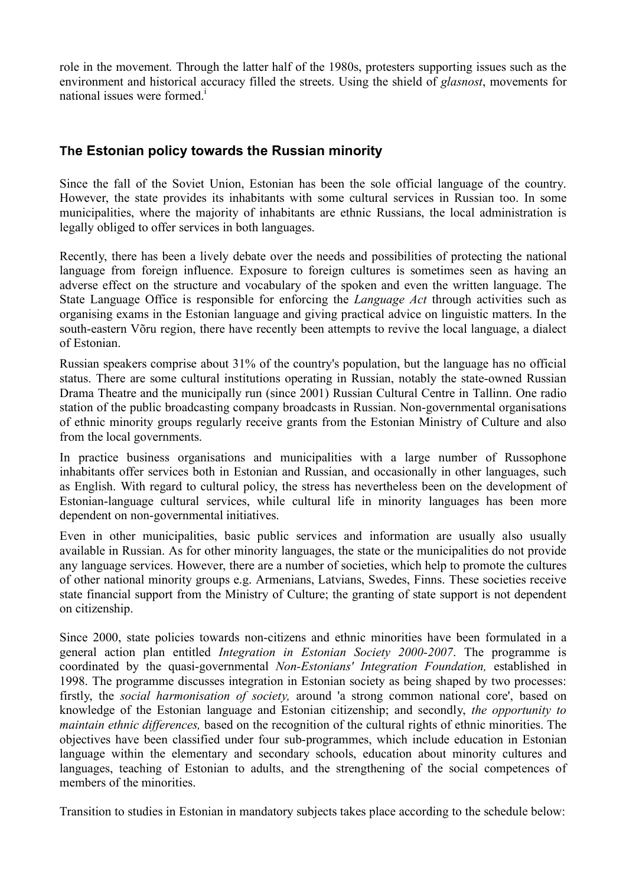role in the movement. Through the latter half of the 1980s, protesters supporting issues such as the environment and historical accuracy filled the streets. Using the shield of *glasnost*, movements for national issues were formed.<sup>1</sup>

## **The Estonian policy towards the Russian minority**

Since the fall of the Soviet Union, Estonian has been the sole official language of the country. However, the state provides its inhabitants with some cultural services in Russian too. In some municipalities, where the majority of inhabitants are ethnic Russians, the local administration is legally obliged to offer services in both languages.

Recently, there has been a lively debate over the needs and possibilities of protecting the national language from foreign influence. Exposure to foreign cultures is sometimes seen as having an adverse effect on the structure and vocabulary of the spoken and even the written language. The State Language Office is responsible for enforcing the *Language Act* through activities such as organising exams in the Estonian language and giving practical advice on linguistic matters. In the south-eastern Võru region, there have recently been attempts to revive the local language, a dialect of Estonian.

Russian speakers comprise about 31% of the country's population, but the language has no official status. There are some cultural institutions operating in Russian, notably the state-owned Russian Drama Theatre and the municipally run (since 2001) Russian Cultural Centre in Tallinn. One radio station of the public broadcasting company broadcasts in Russian. Non-governmental organisations of ethnic minority groups regularly receive grants from the Estonian Ministry of Culture and also from the local governments.

In practice business organisations and municipalities with a large number of Russophone inhabitants offer services both in Estonian and Russian, and occasionally in other languages, such as English. With regard to cultural policy, the stress has nevertheless been on the development of Estonian-language cultural services, while cultural life in minority languages has been more dependent on non-governmental initiatives.

Even in other municipalities, basic public services and information are usually also usually available in Russian. As for other minority languages, the state or the municipalities do not provide any language services. However, there are a number of societies, which help to promote the cultures of other national minority groups e.g. Armenians, Latvians, Swedes, Finns. These societies receive state financial support from the Ministry of Culture; the granting of state support is not dependent on citizenship.

Since 2000, state policies towards non-citizens and ethnic minorities have been formulated in a general action plan entitled *Integration in Estonian Society 2000-2007*. The programme is coordinated by the quasi-governmental *Non-Estonians' Integration Foundation,* established in 1998. The programme discusses integration in Estonian society as being shaped by two processes: firstly, the *social harmonisation of society,* around 'a strong common national core', based on knowledge of the Estonian language and Estonian citizenship; and secondly, *the opportunity to maintain ethnic differences,* based on the recognition of the cultural rights of ethnic minorities. The objectives have been classified under four sub-programmes, which include education in Estonian language within the elementary and secondary schools, education about minority cultures and languages, teaching of Estonian to adults, and the strengthening of the social competences of members of the minorities.

Transition to studies in Estonian in mandatory subjects takes place according to the schedule below: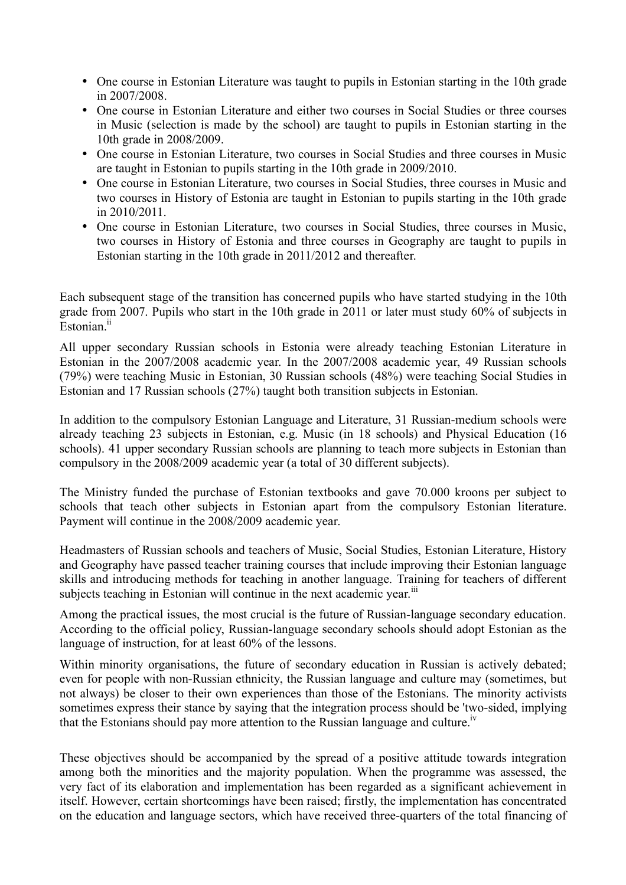- One course in Estonian Literature was taught to pupils in Estonian starting in the 10th grade in 2007/2008.
- One course in Estonian Literature and either two courses in Social Studies or three courses in Music (selection is made by the school) are taught to pupils in Estonian starting in the 10th grade in 2008/2009.
- One course in Estonian Literature, two courses in Social Studies and three courses in Music are taught in Estonian to pupils starting in the 10th grade in 2009/2010.
- One course in Estonian Literature, two courses in Social Studies, three courses in Music and two courses in History of Estonia are taught in Estonian to pupils starting in the 10th grade in 2010/2011.
- One course in Estonian Literature, two courses in Social Studies, three courses in Music, two courses in History of Estonia and three courses in Geography are taught to pupils in Estonian starting in the 10th grade in 2011/2012 and thereafter.

Each subsequent stage of the transition has concerned pupils who have started studying in the 10th grade from 2007. Pupils who start in the 10th grade in 2011 or later must study 60% of subjects in Estonian.<sup>ii</sup>

All upper secondary Russian schools in Estonia were already teaching Estonian Literature in Estonian in the 2007/2008 academic year. In the 2007/2008 academic year, 49 Russian schools (79%) were teaching Music in Estonian, 30 Russian schools (48%) were teaching Social Studies in Estonian and 17 Russian schools (27%) taught both transition subjects in Estonian.

In addition to the compulsory Estonian Language and Literature, 31 Russian-medium schools were already teaching 23 subjects in Estonian, e.g. Music (in 18 schools) and Physical Education (16 schools). 41 upper secondary Russian schools are planning to teach more subjects in Estonian than compulsory in the 2008/2009 academic year (a total of 30 different subjects).

The Ministry funded the purchase of Estonian textbooks and gave 70.000 kroons per subject to schools that teach other subjects in Estonian apart from the compulsory Estonian literature. Payment will continue in the 2008/2009 academic year.

Headmasters of Russian schools and teachers of Music, Social Studies, Estonian Literature, History and Geography have passed teacher training courses that include improving their Estonian language skills and introducing methods for teaching in another language. Training for teachers of different subjects teaching in Estonian will continue in the next academic year.<sup>iii</sup>

Among the practical issues, the most crucial is the future of Russian-language secondary education. According to the official policy, Russian-language secondary schools should adopt Estonian as the language of instruction, for at least 60% of the lessons.

Within minority organisations, the future of secondary education in Russian is actively debated; even for people with non-Russian ethnicity, the Russian language and culture may (sometimes, but not always) be closer to their own experiences than those of the Estonians. The minority activists sometimes express their stance by saying that the integration process should be 'two-sided, implying that the Estonians should pay more attention to the Russian language and culture.<sup>iv</sup>

These objectives should be accompanied by the spread of a positive attitude towards integration among both the minorities and the majority population. When the programme was assessed, the very fact of its elaboration and implementation has been regarded as a significant achievement in itself. However, certain shortcomings have been raised; firstly, the implementation has concentrated on the education and language sectors, which have received three-quarters of the total financing of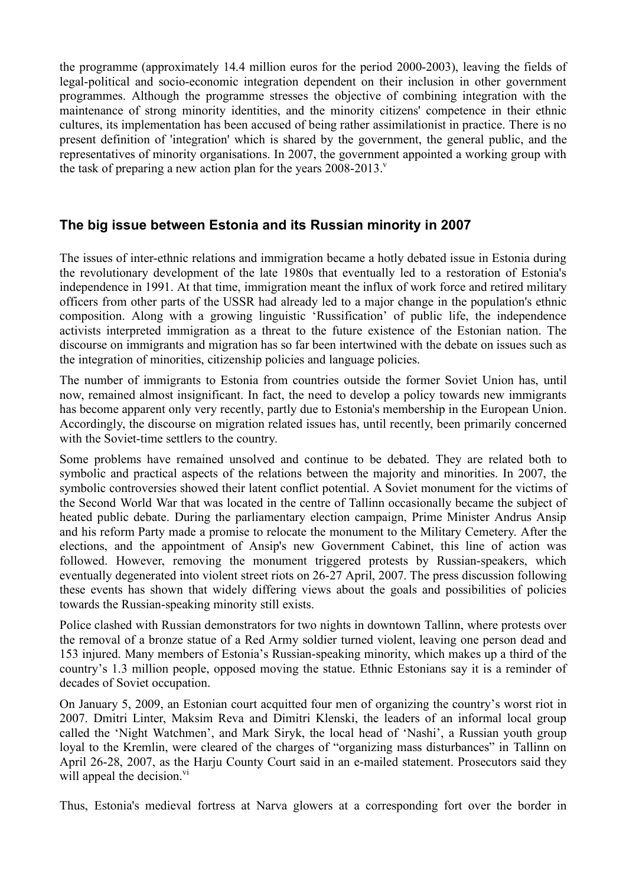the programme (approximately 14.4 million euros for the period 2000-2003), leaving the fields of legal-political and socio-economic integration dependent on their inclusion in other government programmes. Although the programme stresses the objective of combining integration with the maintenance of strong minority identities, and the minority citizens' competence in their ethnic cultures, its implementation has been accused of being rather assimilationist in practice. There is no present definition of 'integration' which is shared by the government, the general public, and the representatives of minority organisations. In 2007, the government appointed a working group with the task of preparing a new action plan for the years  $2008-2013$ .

#### **The big issue between Estonia and its Russian minority in 2007**

The issues of inter-ethnic relations and immigration became a hotly debated issue in Estonia during the revolutionary development of the late 1980s that eventually led to a restoration of Estonia's independence in 1991. At that time, immigration meant the influx of work force and retired military officers from other parts of the USSR had already led to a major change in the population's ethnic composition. Along with a growing linguistic 'Russification' of public life, the independence activists interpreted immigration as a threat to the future existence of the Estonian nation. The discourse on immigrants and migration has so far been intertwined with the debate on issues such as the integration of minorities, citizenship policies and language policies.

The number of immigrants to Estonia from countries outside the former Soviet Union has, until now, remained almost insignificant. In fact, the need to develop a policy towards new immigrants has become apparent only very recently, partly due to Estonia's membership in the European Union. Accordingly, the discourse on migration related issues has, until recently, been primarily concerned with the Soviet-time settlers to the country.

Some problems have remained unsolved and continue to be debated. They are related both to symbolic and practical aspects of the relations between the majority and minorities. In 2007, the symbolic controversies showed their latent conflict potential. A Soviet monument for the victims of the Second World War that was located in the centre of Tallinn occasionally became the subject of heated public debate. During the parliamentary election campaign, Prime Minister Andrus Ansip and his reform Party made a promise to relocate the monument to the Military Cemetery. After the elections, and the appointment of Ansip's new Government Cabinet, this line of action was followed. However, removing the monument triggered protests by Russian-speakers, which eventually degenerated into violent street riots on 26-27 April, 2007. The press discussion following these events has shown that widely differing views about the goals and possibilities of policies towards the Russian-speaking minority still exists.

Police clashed with Russian demonstrators for two nights in downtown Tallinn, where protests over the removal of a bronze statue of a Red Army soldier turned violent, leaving one person dead and 153 injured. Many members of Estonia's Russian-speaking minority, which makes up a third of the country's 1.3 million people, opposed moving the statue. Ethnic Estonians say it is a reminder of decades of Soviet occupation.

On January 5, 2009, an Estonian court acquitted four men of organizing the country's worst riot in 2007. Dmitri Linter, Maksim Reva and Dimitri Klenski, the leaders of an informal local group called the 'Night Watchmen', and Mark Siryk, the local head of 'Nashi', a Russian youth group loyal to the Kremlin, were cleared of the charges of "organizing mass disturbances" in Tallinn on April 26-28, 2007, as the Harju County Court said in an e-mailed statement. Prosecutors said they will appeal the decision.<sup>vi</sup>

Thus, Estonia's medieval fortress at Narva glowers at a corresponding fort over the border in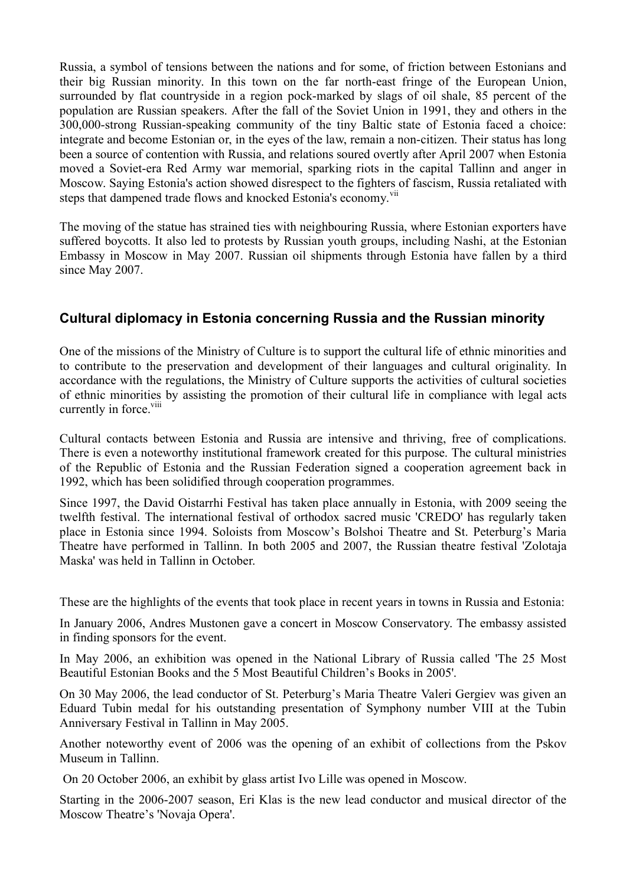Russia, a symbol of tensions between the nations and for some, of friction between Estonians and their big Russian minority. In this town on the far north-east fringe of the European Union, surrounded by flat countryside in a region pock-marked by slags of oil shale, 85 percent of the population are Russian speakers. After the fall of the Soviet Union in 1991, they and others in the 300,000-strong Russian-speaking community of the tiny Baltic state of Estonia faced a choice: integrate and become Estonian or, in the eyes of the law, remain a non-citizen. Their status has long been a source of contention with Russia, and relations soured overtly after April 2007 when Estonia moved a Soviet-era Red Army war memorial, sparking riots in the capital Tallinn and anger in Moscow. Saying Estonia's action showed disrespect to the fighters of fascism, Russia retaliated with steps that dampened trade flows and knocked Estonia's economy.<sup>vii</sup>

The moving of the statue has strained ties with neighbouring Russia, where Estonian exporters have suffered boycotts. It also led to protests by Russian youth groups, including Nashi, at the Estonian Embassy in Moscow in May 2007. Russian oil shipments through Estonia have fallen by a third since May 2007.

## **Cultural diplomacy in Estonia concerning Russia and the Russian minority**

One of the missions of the Ministry of Culture is to support the cultural life of ethnic minorities and to contribute to the preservation and development of their languages and cultural originality. In accordance with the regulations, the Ministry of Culture supports the activities of cultural societies of ethnic minorities by assisting the promotion of their cultural life in compliance with legal acts currently in force.<sup>viii</sup>

Cultural contacts between Estonia and Russia are intensive and thriving, free of complications. There is even a noteworthy institutional framework created for this purpose. The cultural ministries of the Republic of Estonia and the Russian Federation signed a cooperation agreement back in 1992, which has been solidified through cooperation programmes.

Since 1997, the David Oistarrhi Festival has taken place annually in Estonia, with 2009 seeing the twelfth festival. The international festival of orthodox sacred music 'CREDO' has regularly taken place in Estonia since 1994. Soloists from Moscow's Bolshoi Theatre and St. Peterburg's Maria Theatre have performed in Tallinn. In both 2005 and 2007, the Russian theatre festival 'Zolotaja Maska' was held in Tallinn in October.

These are the highlights of the events that took place in recent years in towns in Russia and Estonia:

In January 2006, Andres Mustonen gave a concert in Moscow Conservatory. The embassy assisted in finding sponsors for the event.

In May 2006, an exhibition was opened in the National Library of Russia called 'The 25 Most Beautiful Estonian Books and the 5 Most Beautiful Children's Books in 2005'.

On 30 May 2006, the lead conductor of St. Peterburg's Maria Theatre Valeri Gergiev was given an Eduard Tubin medal for his outstanding presentation of Symphony number VIII at the Tubin Anniversary Festival in Tallinn in May 2005.

Another noteworthy event of 2006 was the opening of an exhibit of collections from the Pskov Museum in Tallinn.

On 20 October 2006, an exhibit by glass artist Ivo Lille was opened in Moscow.

Starting in the 2006-2007 season, Eri Klas is the new lead conductor and musical director of the Moscow Theatre's 'Novaja Opera'.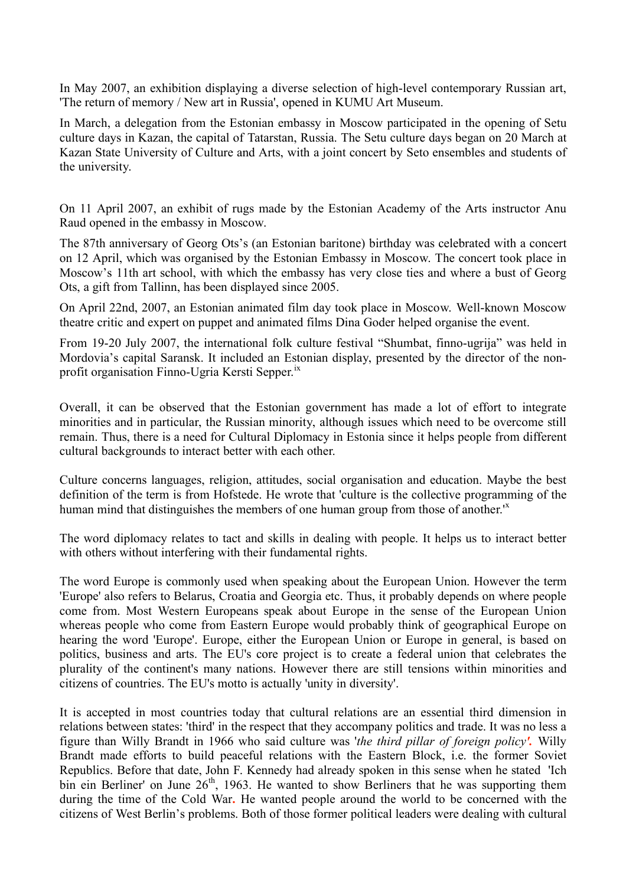In May 2007, an exhibition displaying a diverse selection of high-level contemporary Russian art, 'The return of memory / New art in Russia', opened in KUMU Art Museum.

In March, a delegation from the Estonian embassy in Moscow participated in the opening of Setu culture days in Kazan, the capital of Tatarstan, Russia. The Setu culture days began on 20 March at Kazan State University of Culture and Arts, with a joint concert by Seto ensembles and students of the university.

On 11 April 2007, an exhibit of rugs made by the Estonian Academy of the Arts instructor Anu Raud opened in the embassy in Moscow.

The 87th anniversary of Georg Ots's (an Estonian baritone) birthday was celebrated with a concert on 12 April, which was organised by the Estonian Embassy in Moscow. The concert took place in Moscow's 11th art school, with which the embassy has very close ties and where a bust of Georg Ots, a gift from Tallinn, has been displayed since 2005.

On April 22nd, 2007, an Estonian animated film day took place in Moscow. Well-known Moscow theatre critic and expert on puppet and animated films Dina Goder helped organise the event.

From 19-20 July 2007, the international folk culture festival "Shumbat, finno-ugrija" was held in Mordovia's capital Saransk. It included an Estonian display, presented by the director of the nonprofit organisation Finno-Ugria Kersti Sepper.<sup>ix</sup>

Overall, it can be observed that the Estonian government has made a lot of effort to integrate minorities and in particular, the Russian minority, although issues which need to be overcome still remain. Thus, there is a need for Cultural Diplomacy in Estonia since it helps people from different cultural backgrounds to interact better with each other.

Culture concerns languages, religion, attitudes, social organisation and education. Maybe the best definition of the term is from Hofstede. He wrote that 'culture is the collective programming of the human mind that distinguishes the members of one human group from those of another.<sup>1x</sup>

The word diplomacy relates to tact and skills in dealing with people. It helps us to interact better with others without interfering with their fundamental rights.

The word Europe is commonly used when speaking about the European Union. However the term 'Europe' also refers to Belarus, Croatia and Georgia etc. Thus, it probably depends on where people come from. Most Western Europeans speak about Europe in the sense of the European Union whereas people who come from Eastern Europe would probably think of geographical Europe on hearing the word 'Europe'. Europe, either the European Union or Europe in general, is based on politics, business and arts. The EU's core project is to create a federal union that celebrates the plurality of the continent's many nations. However there are still tensions within minorities and citizens of countries. The EU's motto is actually 'unity in diversity'.

It is accepted in most countries today that cultural relations are an essential third dimension in relations between states: 'third' in the respect that they accompany politics and trade. It was no less a figure than Willy Brandt in 1966 who said culture was '*the third pillar of foreign policy'.* Willy Brandt made efforts to build peaceful relations with the Eastern Block, i.e. the former Soviet Republics. Before that date, John F. Kennedy had already spoken in this sense when he stated 'Ich bin ein Berliner' on June  $26<sup>th</sup>$ , 1963. He wanted to show Berliners that he was supporting them during the time of the Cold War**.** He wanted people around the world to be concerned with the citizens of West Berlin's problems. Both of those former political leaders were dealing with cultural